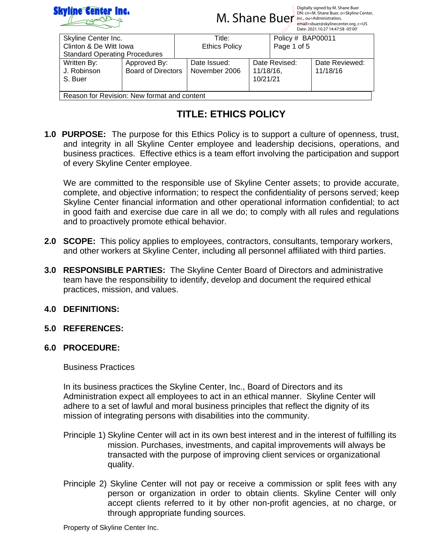

 $M.$  Shane Buer, o=Skyline Center,  $M.$  Shane Buer, o=Skyline Center,  $M.$  Shane Buer, o=Skyline Center,  $M.$  Shane Ruer,  $O(2K)$ Digitally signed by M. Shane Buer<br>DN: cn=M. Shane Buer, o=Skyline Center,

|                                             |                           |                      |           |                   | Date: 2021.10.27 14:47:58 -05'00' |  |
|---------------------------------------------|---------------------------|----------------------|-----------|-------------------|-----------------------------------|--|
| Skyline Center Inc.                         |                           | Title:               |           | Policy # BAP00011 |                                   |  |
| Clinton & De Witt Iowa                      |                           | <b>Ethics Policy</b> |           | Page 1 of 5       |                                   |  |
| <b>Standard Operating Procedures</b>        |                           |                      |           |                   |                                   |  |
| Written By:                                 | Approved By:              | Date Issued:         |           | Date Revised:     | Date Reviewed:                    |  |
| J. Robinson                                 | <b>Board of Directors</b> | November 2006        | 11/18/16, |                   | 11/18/16                          |  |
| S. Buer                                     |                           |                      | 10/21/21  |                   |                                   |  |
|                                             |                           |                      |           |                   |                                   |  |
| Reason for Revision: New format and content |                           |                      |           |                   |                                   |  |

# **TITLE: ETHICS POLICY**

**1.0 PURPOSE:** The purpose for this Ethics Policy is to support a culture of openness, trust, and integrity in all Skyline Center employee and leadership decisions, operations, and business practices. Effective ethics is a team effort involving the participation and support of every Skyline Center employee.

We are committed to the responsible use of Skyline Center assets; to provide accurate, complete, and objective information; to respect the confidentiality of persons served; keep Skyline Center financial information and other operational information confidential; to act in good faith and exercise due care in all we do; to comply with all rules and regulations and to proactively promote ethical behavior.

- **2.0 SCOPE:** This policy applies to employees, contractors, consultants, temporary workers, and other workers at Skyline Center, including all personnel affiliated with third parties.
- **3.0 RESPONSIBLE PARTIES:** The Skyline Center Board of Directors and administrative team have the responsibility to identify, develop and document the required ethical practices, mission, and values.

## **4.0 DEFINITIONS:**

**5.0 REFERENCES:**

# **6.0 PROCEDURE:**

Business Practices

In its business practices the Skyline Center, Inc., Board of Directors and its Administration expect all employees to act in an ethical manner. Skyline Center will adhere to a set of lawful and moral business principles that reflect the dignity of its mission of integrating persons with disabilities into the community.

- Principle 1) Skyline Center will act in its own best interest and in the interest of fulfilling its mission. Purchases, investments, and capital improvements will always be transacted with the purpose of improving client services or organizational quality.
- Principle 2) Skyline Center will not pay or receive a commission or split fees with any person or organization in order to obtain clients. Skyline Center will only accept clients referred to it by other non-profit agencies, at no charge, or through appropriate funding sources.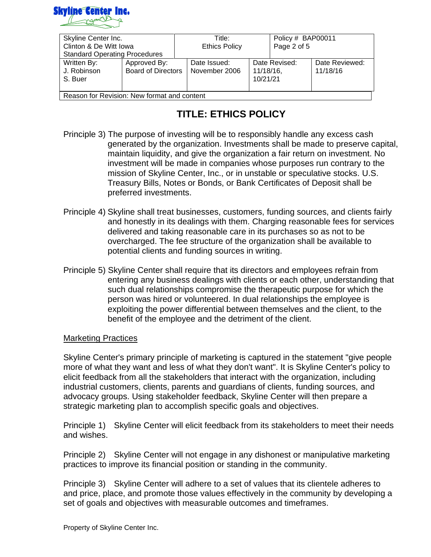

| Skyline Center Inc.                         |                                           | Title: |                               | Policy # BAP00011        |               |                            |
|---------------------------------------------|-------------------------------------------|--------|-------------------------------|--------------------------|---------------|----------------------------|
| Clinton & De Witt Iowa                      |                                           |        | <b>Ethics Policy</b>          |                          | Page 2 of 5   |                            |
| <b>Standard Operating Procedures</b>        |                                           |        |                               |                          |               |                            |
| Written By:<br>J. Robinson<br>S. Buer       | Approved By:<br><b>Board of Directors</b> |        | Date Issued:<br>November 2006 | $11/18/16$ ,<br>10/21/21 | Date Revised: | Date Reviewed:<br>11/18/16 |
| Reason for Revision: New format and content |                                           |        |                               |                          |               |                            |

- Principle 3) The purpose of investing will be to responsibly handle any excess cash generated by the organization. Investments shall be made to preserve capital, maintain liquidity, and give the organization a fair return on investment. No investment will be made in companies whose purposes run contrary to the mission of Skyline Center, Inc., or in unstable or speculative stocks. U.S. Treasury Bills, Notes or Bonds, or Bank Certificates of Deposit shall be preferred investments.
- Principle 4) Skyline shall treat businesses, customers, funding sources, and clients fairly and honestly in its dealings with them. Charging reasonable fees for services delivered and taking reasonable care in its purchases so as not to be overcharged. The fee structure of the organization shall be available to potential clients and funding sources in writing.
- Principle 5) Skyline Center shall require that its directors and employees refrain from entering any business dealings with clients or each other, understanding that such dual relationships compromise the therapeutic purpose for which the person was hired or volunteered. In dual relationships the employee is exploiting the power differential between themselves and the client, to the benefit of the employee and the detriment of the client.

#### Marketing Practices

Skyline Center's primary principle of marketing is captured in the statement "give people more of what they want and less of what they don't want". It is Skyline Center's policy to elicit feedback from all the stakeholders that interact with the organization, including industrial customers, clients, parents and guardians of clients, funding sources, and advocacy groups. Using stakeholder feedback, Skyline Center will then prepare a strategic marketing plan to accomplish specific goals and objectives.

Principle 1) Skyline Center will elicit feedback from its stakeholders to meet their needs and wishes.

Principle 2) Skyline Center will not engage in any dishonest or manipulative marketing practices to improve its financial position or standing in the community.

Principle 3) Skyline Center will adhere to a set of values that its clientele adheres to and price, place, and promote those values effectively in the community by developing a set of goals and objectives with measurable outcomes and timeframes.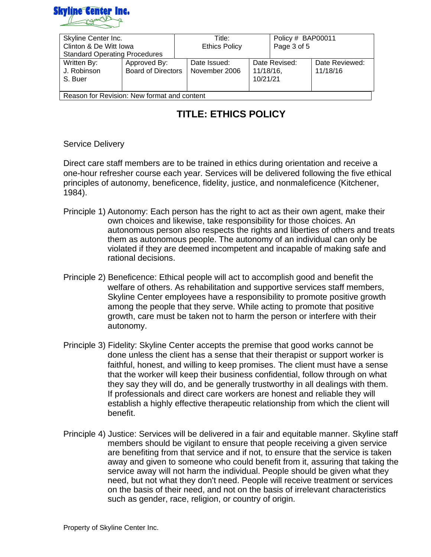

| Skyline Center Inc.                         |                           | Title: |                      | Policy # BAP00011 |             |                |
|---------------------------------------------|---------------------------|--------|----------------------|-------------------|-------------|----------------|
| Clinton & De Witt Iowa                      |                           |        | <b>Ethics Policy</b> |                   | Page 3 of 5 |                |
| <b>Standard Operating Procedures</b>        |                           |        |                      |                   |             |                |
| Written By:                                 | Approved By:              |        | Date Issued:         | Date Revised:     |             | Date Reviewed: |
| J. Robinson                                 | <b>Board of Directors</b> |        | November 2006        | $11/18/16$ ,      |             | 11/18/16       |
| S. Buer                                     |                           |        |                      | 10/21/21          |             |                |
|                                             |                           |        |                      |                   |             |                |
| Reason for Revision: New format and content |                           |        |                      |                   |             |                |

#### Service Delivery

Direct care staff members are to be trained in ethics during orientation and receive a one-hour refresher course each year. Services will be delivered following the five ethical principles of autonomy, beneficence, fidelity, justice, and nonmaleficence (Kitchener, 1984).

- Principle 1) Autonomy: Each person has the right to act as their own agent, make their own choices and likewise, take responsibility for those choices. An autonomous person also respects the rights and liberties of others and treats them as autonomous people. The autonomy of an individual can only be violated if they are deemed incompetent and incapable of making safe and rational decisions.
- Principle 2) Beneficence: Ethical people will act to accomplish good and benefit the welfare of others. As rehabilitation and supportive services staff members, Skyline Center employees have a responsibility to promote positive growth among the people that they serve. While acting to promote that positive growth, care must be taken not to harm the person or interfere with their autonomy.
- Principle 3) Fidelity: Skyline Center accepts the premise that good works cannot be done unless the client has a sense that their therapist or support worker is faithful, honest, and willing to keep promises. The client must have a sense that the worker will keep their business confidential, follow through on what they say they will do, and be generally trustworthy in all dealings with them. If professionals and direct care workers are honest and reliable they will establish a highly effective therapeutic relationship from which the client will benefit.
- Principle 4) Justice: Services will be delivered in a fair and equitable manner. Skyline staff members should be vigilant to ensure that people receiving a given service are benefiting from that service and if not, to ensure that the service is taken away and given to someone who could benefit from it, assuring that taking the service away will not harm the individual. People should be given what they need, but not what they don't need. People will receive treatment or services on the basis of their need, and not on the basis of irrelevant characteristics such as gender, race, religion, or country of origin.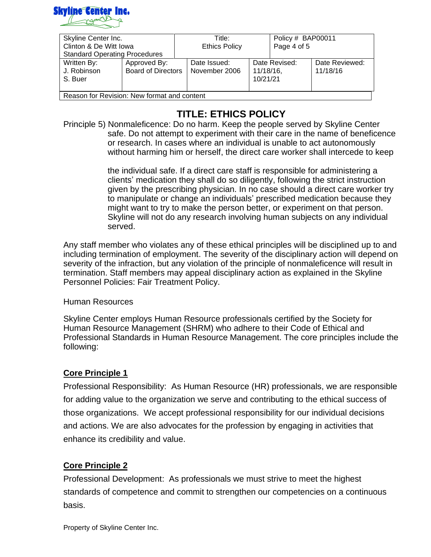

| Skyline Center Inc.                         |                           | Title: |                      | Policy # BAP00011 |               |                |
|---------------------------------------------|---------------------------|--------|----------------------|-------------------|---------------|----------------|
| Clinton & De Witt Iowa                      |                           |        | <b>Ethics Policy</b> |                   | Page 4 of 5   |                |
| <b>Standard Operating Procedures</b>        |                           |        |                      |                   |               |                |
| Written By:                                 | Approved By:              |        | Date Issued:         |                   | Date Revised: | Date Reviewed: |
| J. Robinson                                 | <b>Board of Directors</b> |        | November 2006        | 11/18/16,         |               | 11/18/16       |
| S. Buer                                     |                           |        |                      | 10/21/21          |               |                |
|                                             |                           |        |                      |                   |               |                |
| Reason for Revision: New format and content |                           |        |                      |                   |               |                |

Principle 5) Nonmaleficence: Do no harm. Keep the people served by Skyline Center safe. Do not attempt to experiment with their care in the name of beneficence or research. In cases where an individual is unable to act autonomously without harming him or herself, the direct care worker shall intercede to keep

> the individual safe. If a direct care staff is responsible for administering a clients' medication they shall do so diligently, following the strict instruction given by the prescribing physician. In no case should a direct care worker try to manipulate or change an individuals' prescribed medication because they might want to try to make the person better, or experiment on that person. Skyline will not do any research involving human subjects on any individual served.

Any staff member who violates any of these ethical principles will be disciplined up to and including termination of employment. The severity of the disciplinary action will depend on severity of the infraction, but any violation of the principle of nonmaleficence will result in termination. Staff members may appeal disciplinary action as explained in the Skyline Personnel Policies: Fair Treatment Policy.

#### Human Resources

Skyline Center employs Human Resource professionals certified by the Society for Human Resource Management (SHRM) who adhere to their Code of Ethical and Professional Standards in Human Resource Management. The core principles include the following:

## **Core Principle 1**

Professional Responsibility: As Human Resource (HR) professionals, we are responsible for adding value to the organization we serve and contributing to the ethical success of those organizations. We accept professional responsibility for our individual decisions and actions. We are also advocates for the profession by engaging in activities that enhance its credibility and value.

## **Core Principle 2**

Professional Development: As professionals we must strive to meet the highest standards of competence and commit to strengthen our competencies on a continuous basis.